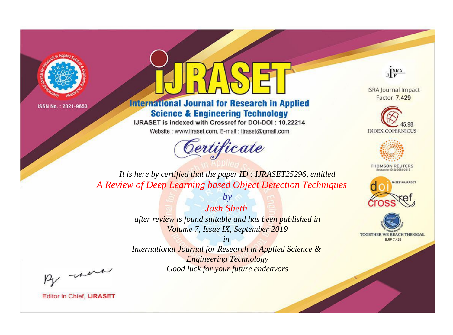



**International Journal for Research in Applied Science & Engineering Technology** 

IJRASET is indexed with Crossref for DOI-DOI: 10.22214

Website: www.ijraset.com, E-mail: ijraset@gmail.com



JERA

**ISRA Journal Impact** Factor: 7.429





**THOMSON REUTERS** 



TOGETHER WE REACH THE GOAL **SJIF 7.429** 

It is here by certified that the paper ID: IJRASET25296, entitled A Review of Deep Learning based Object Detection Techniques

> **Jash Sheth** after review is found suitable and has been published in Volume 7, Issue IX, September 2019

 $b\nu$ 

 $in$ International Journal for Research in Applied Science & **Engineering Technology** Good luck for your future endeavors

By morn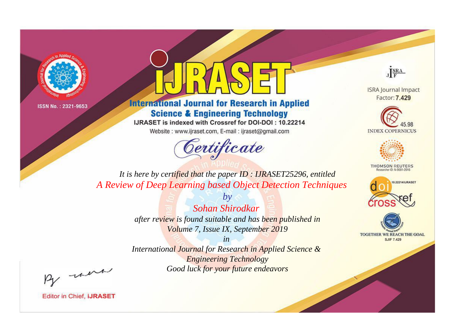



**International Journal for Research in Applied Science & Engineering Technology** 

IJRASET is indexed with Crossref for DOI-DOI: 10.22214

Website: www.ijraset.com, E-mail: ijraset@gmail.com



JERA

**ISRA Journal Impact** Factor: 7.429





**THOMSON REUTERS** 



TOGETHER WE REACH THE GOAL **SJIF 7.429** 

It is here by certified that the paper ID: IJRASET25296, entitled A Review of Deep Learning based Object Detection Techniques

> $b\nu$ Sohan Shirodkar after review is found suitable and has been published in Volume 7, Issue IX, September 2019

 $in$ International Journal for Research in Applied Science & **Engineering Technology** Good luck for your future endeavors

By morn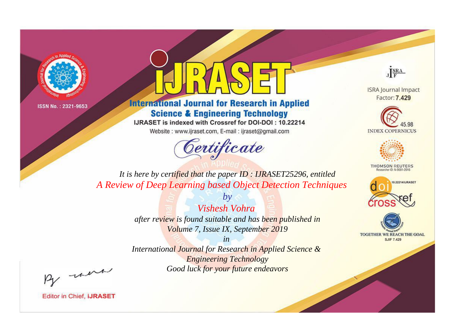



**International Journal for Research in Applied Science & Engineering Technology** 

IJRASET is indexed with Crossref for DOI-DOI: 10.22214

Website: www.ijraset.com, E-mail: ijraset@gmail.com



JERA

**ISRA Journal Impact** Factor: 7.429





**THOMSON REUTERS** 



TOGETHER WE REACH THE GOAL **SJIF 7.429** 

It is here by certified that the paper ID: IJRASET25296, entitled A Review of Deep Learning based Object Detection Techniques

> $b\nu$ Vishesh Vohra after review is found suitable and has been published in Volume 7, Issue IX, September 2019

 $in$ International Journal for Research in Applied Science & **Engineering Technology** Good luck for your future endeavors

By morn